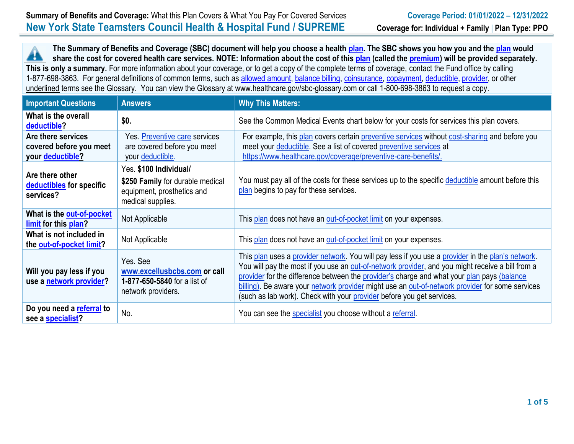**The Summary of Benefits and Coverage (SBC) document will help you choose a health [plan.](https://www.healthcare.gov/sbc-glossary/#plan) The SBC shows you how you and the [plan](https://www.healthcare.gov/sbc-glossary/#plan) would** 44 **share the cost for covered health care services. NOTE: Information about the cost of thi[s plan](https://www.healthcare.gov/sbc-glossary/#plan) (called the [premium\)](https://www.healthcare.gov/sbc-glossary/#premium) will be provided separately. This is only a summary.** For more information about your coverage, or to get a copy of the complete terms of coverage, contact the Fund office by calling 1-877-698-3863. For general definitions of common terms, such as [allowed amount,](https://www.healthcare.gov/sbc-glossary/#allowed-amount) [balance billing,](https://www.healthcare.gov/sbc-glossary/#balance-billing) [coinsurance,](https://www.healthcare.gov/sbc-glossary/#coinsurance) [copayment,](https://www.healthcare.gov/sbc-glossary/#copayment) [deductible,](https://www.healthcare.gov/sbc-glossary/#deductible) [provider,](https://www.healthcare.gov/sbc-glossary/#provider) or other underlined terms see the Glossary. You can view the Glossary at www.healthcare.gov/sbc-glossary.com or call 1-800-698-3863 to request a copy.

| <b>Important Questions</b>                                        | <b>Answers</b>                                                                                                | <b>Why This Matters:</b>                                                                                                                                                                                                                                                                                                                                                                                                                                                        |
|-------------------------------------------------------------------|---------------------------------------------------------------------------------------------------------------|---------------------------------------------------------------------------------------------------------------------------------------------------------------------------------------------------------------------------------------------------------------------------------------------------------------------------------------------------------------------------------------------------------------------------------------------------------------------------------|
| What is the overall<br>deductible?                                | \$0.                                                                                                          | See the Common Medical Events chart below for your costs for services this plan covers.                                                                                                                                                                                                                                                                                                                                                                                         |
| Are there services<br>covered before you meet<br>your deductible? | Yes. Preventive care services<br>are covered before you meet<br>your deductible.                              | For example, this plan covers certain preventive services without cost-sharing and before you<br>meet your deductible. See a list of covered preventive services at<br>https://www.healthcare.gov/coverage/preventive-care-benefits/.                                                                                                                                                                                                                                           |
| Are there other<br>deductibles for specific<br>services?          | Yes. \$100 Individual/<br>\$250 Family for durable medical<br>equipment, prosthetics and<br>medical supplies. | You must pay all of the costs for these services up to the specific deductible amount before this<br>plan begins to pay for these services.                                                                                                                                                                                                                                                                                                                                     |
| What is the out-of-pocket<br>limit for this plan?                 | Not Applicable                                                                                                | This plan does not have an out-of-pocket limit on your expenses.                                                                                                                                                                                                                                                                                                                                                                                                                |
| What is not included in<br>the out-of-pocket limit?               | Not Applicable                                                                                                | This plan does not have an out-of-pocket limit on your expenses.                                                                                                                                                                                                                                                                                                                                                                                                                |
| Will you pay less if you<br>use a network provider?               | Yes. See<br>www.excellusbcbs.com or call<br>1-877-650-5840 for a list of<br>network providers.                | This plan uses a provider network. You will pay less if you use a provider in the plan's network.<br>You will pay the most if you use an out-of-network provider, and you might receive a bill from a<br>provider for the difference between the provider's charge and what your plan pays (balance<br>billing). Be aware your network provider might use an out-of-network provider for some services<br>(such as lab work). Check with your provider before you get services. |
| Do you need a referral to<br>see a specialist?                    | No.                                                                                                           | You can see the specialist you choose without a referral.                                                                                                                                                                                                                                                                                                                                                                                                                       |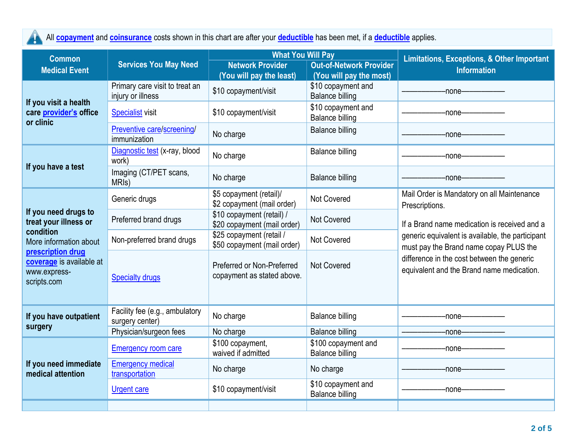All **[copayment](https://www.healthcare.gov/sbc-glossary/#copayment)** and **[coinsurance](https://www.healthcare.gov/sbc-glossary/#coinsurance)** costs shown in this chart are after your **[deductible](https://www.healthcare.gov/sbc-glossary/#deductible)** has been met, if a **[deductible](https://www.healthcare.gov/sbc-glossary/#deductible)** applies.

| <b>Common</b>                                                                                                                                                        | <b>Services You May Need</b>                        | <b>What You Will Pay</b>                                 |                                               | <b>Limitations, Exceptions, &amp; Other Important</b>                                                        |  |
|----------------------------------------------------------------------------------------------------------------------------------------------------------------------|-----------------------------------------------------|----------------------------------------------------------|-----------------------------------------------|--------------------------------------------------------------------------------------------------------------|--|
| <b>Medical Event</b>                                                                                                                                                 |                                                     | <b>Network Provider</b>                                  | <b>Out-of-Network Provider</b>                | <b>Information</b>                                                                                           |  |
|                                                                                                                                                                      |                                                     | (You will pay the least)                                 | (You will pay the most)                       |                                                                                                              |  |
| If you visit a health<br>care provider's office<br>or clinic                                                                                                         | Primary care visit to treat an<br>injury or illness | \$10 copayment/visit                                     | \$10 copayment and<br><b>Balance billing</b>  | -none—                                                                                                       |  |
|                                                                                                                                                                      | <b>Specialist visit</b>                             | \$10 copayment/visit                                     | \$10 copayment and<br><b>Balance billing</b>  | -none-                                                                                                       |  |
|                                                                                                                                                                      | Preventive care/screening/<br>immunization          | No charge                                                | <b>Balance billing</b>                        | -none-                                                                                                       |  |
| If you have a test                                                                                                                                                   | Diagnostic test (x-ray, blood<br>work)              | No charge                                                | <b>Balance billing</b>                        | -none-                                                                                                       |  |
|                                                                                                                                                                      | Imaging (CT/PET scans,<br>MRI <sub>s</sub> )        | No charge                                                | <b>Balance billing</b>                        | -none-                                                                                                       |  |
| If you need drugs to<br>treat your illness or<br>condition<br>More information about<br>prescription drug<br>coverage is available at<br>www.express-<br>scripts.com | Generic drugs                                       | \$5 copayment (retail)/<br>\$2 copayment (mail order)    | <b>Not Covered</b>                            | Mail Order is Mandatory on all Maintenance<br>Prescriptions.<br>If a Brand name medication is received and a |  |
|                                                                                                                                                                      | Preferred brand drugs                               | \$10 copayment (retail) /<br>\$20 copayment (mail order) | Not Covered                                   |                                                                                                              |  |
|                                                                                                                                                                      | Non-preferred brand drugs                           | \$25 copayment (retail /<br>\$50 copayment (mail order)  | <b>Not Covered</b>                            | generic equivalent is available, the participant<br>must pay the Brand name copay PLUS the                   |  |
|                                                                                                                                                                      | <b>Specialty drugs</b>                              | Preferred or Non-Preferred<br>copayment as stated above. | <b>Not Covered</b>                            | difference in the cost between the generic<br>equivalent and the Brand name medication.                      |  |
| If you have outpatient                                                                                                                                               | Facility fee (e.g., ambulatory<br>surgery center)   | No charge                                                | <b>Balance billing</b>                        | -none-                                                                                                       |  |
| surgery                                                                                                                                                              | Physician/surgeon fees                              | No charge                                                | <b>Balance billing</b>                        | -none-                                                                                                       |  |
| If you need immediate<br>medical attention                                                                                                                           | <b>Emergency room care</b>                          | \$100 copayment,<br>waived if admitted                   | \$100 copayment and<br><b>Balance billing</b> | -none-                                                                                                       |  |
|                                                                                                                                                                      | <b>Emergency medical</b><br>transportation          | No charge                                                | No charge                                     | -none-                                                                                                       |  |
|                                                                                                                                                                      | <b>Urgent care</b>                                  | \$10 copayment/visit                                     | \$10 copayment and<br><b>Balance billing</b>  | -none—                                                                                                       |  |
|                                                                                                                                                                      |                                                     |                                                          |                                               |                                                                                                              |  |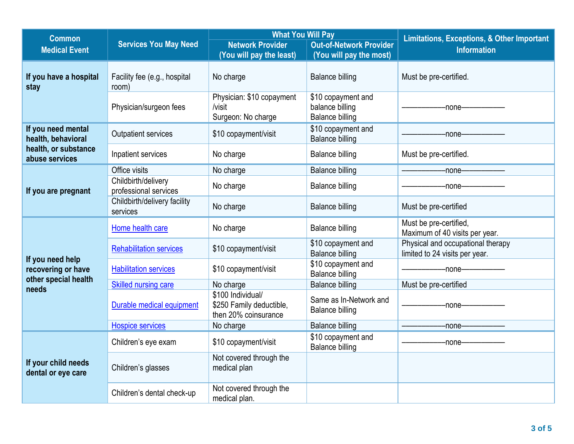| <b>Common</b>                             |                                              | <b>What You Will Pay</b>                                              |                                                                 | <b>Limitations, Exceptions, &amp; Other Important</b>               |
|-------------------------------------------|----------------------------------------------|-----------------------------------------------------------------------|-----------------------------------------------------------------|---------------------------------------------------------------------|
| <b>Medical Event</b>                      | <b>Services You May Need</b>                 | <b>Network Provider</b>                                               | <b>Out-of-Network Provider</b>                                  | <b>Information</b>                                                  |
|                                           |                                              | (You will pay the least)                                              | (You will pay the most)                                         |                                                                     |
| If you have a hospital<br>stay            | Facility fee (e.g., hospital<br>room)        | No charge                                                             | <b>Balance billing</b>                                          | Must be pre-certified.                                              |
|                                           | Physician/surgeon fees                       | Physician: \$10 copayment<br>/visit<br>Surgeon: No charge             | \$10 copayment and<br>balance billing<br><b>Balance billing</b> | -none-                                                              |
| If you need mental<br>health, behavioral  | Outpatient services                          | \$10 copayment/visit                                                  | \$10 copayment and<br><b>Balance billing</b>                    | -none-                                                              |
| health, or substance<br>abuse services    | Inpatient services                           | No charge                                                             | <b>Balance billing</b>                                          | Must be pre-certified.                                              |
|                                           | Office visits                                | No charge                                                             | <b>Balance billing</b>                                          | -none-                                                              |
| If you are pregnant                       | Childbirth/delivery<br>professional services | No charge                                                             | <b>Balance billing</b>                                          | -none-                                                              |
|                                           | Childbirth/delivery facility<br>services     | No charge                                                             | <b>Balance billing</b>                                          | Must be pre-certified                                               |
|                                           | Home health care                             | No charge                                                             | <b>Balance billing</b>                                          | Must be pre-certified,<br>Maximum of 40 visits per year.            |
|                                           | <b>Rehabilitation services</b>               | \$10 copayment/visit                                                  | \$10 copayment and<br><b>Balance billing</b>                    | Physical and occupational therapy<br>limited to 24 visits per year. |
| If you need help<br>recovering or have    | <b>Habilitation services</b>                 | \$10 copayment/visit                                                  | \$10 copayment and<br><b>Balance billing</b>                    | -none-                                                              |
| other special health<br>needs             | Skilled nursing care                         | No charge                                                             | <b>Balance billing</b>                                          | Must be pre-certified                                               |
|                                           | Durable medical equipment                    | \$100 Individual/<br>\$250 Family deductible,<br>then 20% coinsurance | Same as In-Network and<br><b>Balance billing</b>                | $-$ none $-$                                                        |
|                                           | <b>Hospice services</b>                      | No charge                                                             | <b>Balance billing</b>                                          | -none-                                                              |
| If your child needs<br>dental or eye care | Children's eye exam                          | \$10 copayment/visit                                                  | \$10 copayment and<br><b>Balance billing</b>                    | -none-                                                              |
|                                           | Children's glasses                           | Not covered through the<br>medical plan                               |                                                                 |                                                                     |
|                                           | Children's dental check-up                   | Not covered through the<br>medical plan.                              |                                                                 |                                                                     |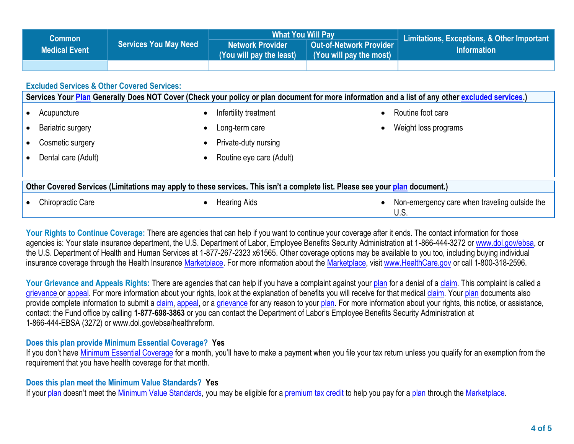| <b>Common</b>                                                                                                                |                                                        | <b>What You Will Pay</b>                            |                                                           | <b>Limitations, Exceptions, &amp; Other Important</b>                                                                                            |  |  |
|------------------------------------------------------------------------------------------------------------------------------|--------------------------------------------------------|-----------------------------------------------------|-----------------------------------------------------------|--------------------------------------------------------------------------------------------------------------------------------------------------|--|--|
| <b>Services You May Need</b><br><b>Medical Event</b>                                                                         |                                                        | <b>Network Provider</b><br>(You will pay the least) | <b>Out-of-Network Provider</b><br>(You will pay the most) | <b>Information</b>                                                                                                                               |  |  |
|                                                                                                                              |                                                        |                                                     |                                                           |                                                                                                                                                  |  |  |
|                                                                                                                              | <b>Excluded Services &amp; Other Covered Services:</b> |                                                     |                                                           |                                                                                                                                                  |  |  |
|                                                                                                                              |                                                        |                                                     |                                                           | Services Your Plan Generally Does NOT Cover (Check your policy or plan document for more information and a list of any other excluded services.) |  |  |
| Acupuncture                                                                                                                  | $\bullet$                                              | Infertility treatment                               |                                                           | Routine foot care                                                                                                                                |  |  |
| <b>Bariatric surgery</b>                                                                                                     | $\bullet$                                              | Long-term care                                      |                                                           | Weight loss programs                                                                                                                             |  |  |
| Cosmetic surgery                                                                                                             | $\bullet$                                              | Private-duty nursing                                |                                                           |                                                                                                                                                  |  |  |
| Dental care (Adult)                                                                                                          | $\bullet$                                              | Routine eye care (Adult)                            |                                                           |                                                                                                                                                  |  |  |
|                                                                                                                              |                                                        |                                                     |                                                           |                                                                                                                                                  |  |  |
| Other Covered Services (Limitations may apply to these services. This isn't a complete list. Please see your plan document.) |                                                        |                                                     |                                                           |                                                                                                                                                  |  |  |
| <b>Chiropractic Care</b>                                                                                                     | $\bullet$                                              | <b>Hearing Aids</b>                                 |                                                           | Non-emergency care when traveling outside the<br>U.S.                                                                                            |  |  |

Your Rights to Continue Coverage: There are agencies that can help if you want to continue your coverage after it ends. The contact information for those agencies is: Your state insurance department, the U.S. Department of Labor, Employee Benefits Security Administration at 1-866-444-3272 o[r www.dol.gov/ebsa,](http://www.dol.gov/ebsa) or the U.S. Department of Health and Human Services at 1-877-267-2323 x61565. Other coverage options may be available to you too, including buying individual insurance coverage through the Health Insurance [Marketplace.](https://www.healthcare.gov/sbc-glossary/#marketplace) For more information about the [Marketplace,](https://www.healthcare.gov/sbc-glossary/#marketplace) visit [www.HealthCare.gov](http://www.healthcare.gov/) or call 1-800-318-2596.

Your Grievance and Appeals Rights: There are agencies that can help if you have a complaint against your [plan](https://www.healthcare.gov/sbc-glossary/#plan) for a denial of a [claim.](https://www.healthcare.gov/sbc-glossary/#claim) This complaint is called a [grievance](https://www.healthcare.gov/sbc-glossary/#grievance) or [appeal.](https://www.healthcare.gov/sbc-glossary/#appeal) For more information about your rights, look at the explanation of benefits you will receive for that medica[l claim.](https://www.healthcare.gov/sbc-glossary/#claim) Your [plan](https://www.healthcare.gov/sbc-glossary/#plan) documents also provide complete information to submit a [claim,](https://www.healthcare.gov/sbc-glossary/#claim) [appeal,](https://www.healthcare.gov/sbc-glossary/#appeal) or a [grievance](https://www.healthcare.gov/sbc-glossary/#grievance) for any reason to your [plan.](https://www.healthcare.gov/sbc-glossary/#plan) For more information about your rights, this notice, or assistance, contact: the Fund office by calling **1-877-698-3863** or you can contact the Department of Labor's Employee Benefits Security Administration at 1-866-444-EBSA (3272) or www.dol.gov/ebsa/healthreform.

## **Does this plan provide Minimum Essential Coverage? Yes**

If you don't have [Minimum Essential Coverage](https://www.healthcare.gov/sbc-glossary/#minimum-essential-coverage) for a month, you'll have to make a payment when you file your tax return unless you qualify for an exemption from the requirement that you have health coverage for that month.

## **Does this plan meet the Minimum Value Standards? Yes**

If your [plan](https://www.healthcare.gov/sbc-glossary/#plan) doesn't meet the [Minimum Value Standards,](https://www.healthcare.gov/sbc-glossary/#minimum-value-standard) you may be eligible for a [premium tax credit](https://www.healthcare.gov/sbc-glossary/#premium-tax-credits) to help you pay for a [plan](https://www.healthcare.gov/sbc-glossary/#plan) through the [Marketplace.](https://www.healthcare.gov/sbc-glossary/#marketplace)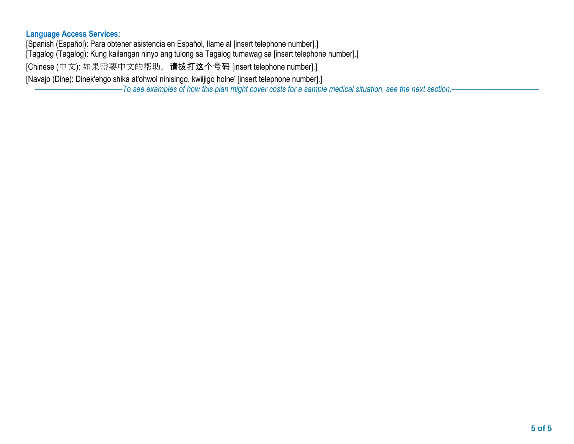## **Language Access Services:**

[Spanish (Español): Para obtener asistencia en Español, llame al [insert telephone number].]

[Tagalog (Tagalog): Kung kailangan ninyo ang tulong sa Tagalog tumawag sa [insert telephone number].]

[Chinese (中文): 如果需要中文的帮助, 请拨打这个号码 [insert telephone number].]

[Navajo (Dine): Dinek'ehgo shika at'ohwol ninisingo, kwiijigo holne' [insert telephone number].]

––––––––––––––––––––––*To see examples of how this plan might cover costs for a sample medical situation, see the next section.–––––––––––*–––––––––––